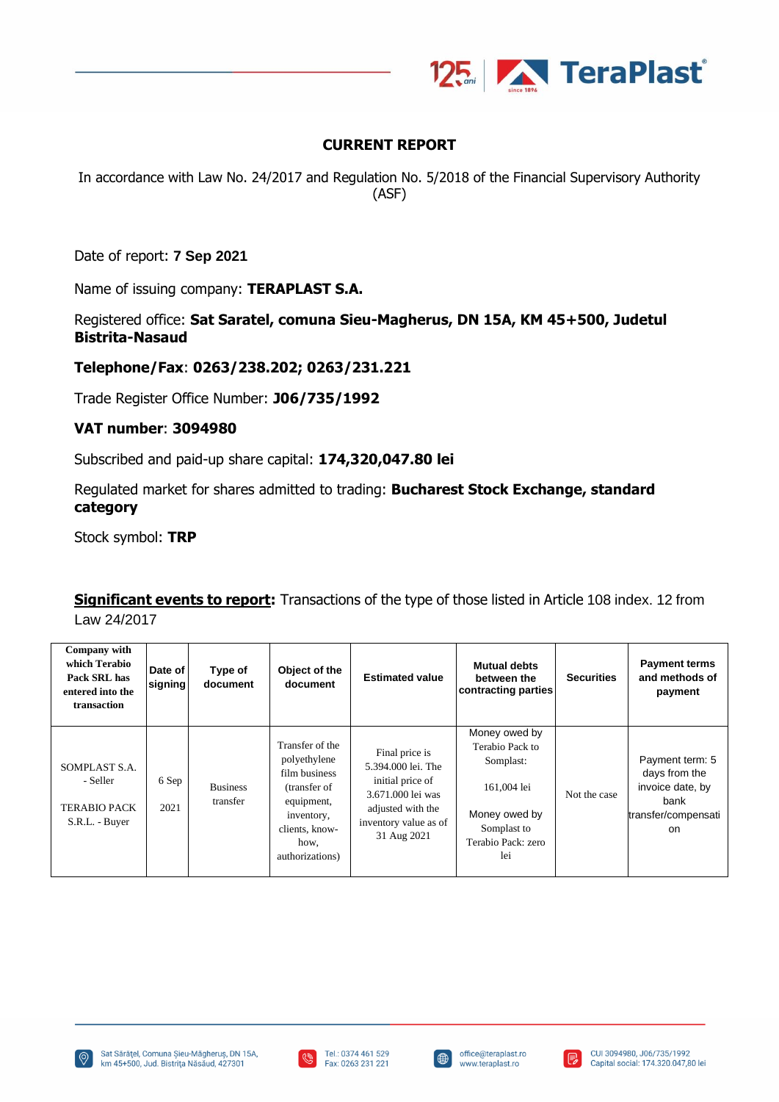

# **CURRENT REPORT**

In accordance with Law No. 24/2017 and Regulation No. 5/2018 of the Financial Supervisory Authority (ASF)

Date of report: **7 Sep 2021**

Name of issuing company: **TERAPLAST S.A.**

Registered office: **Sat Saratel, comuna Sieu-Magherus, DN 15A, KM 45+500, Judetul Bistrita-Nasaud**

#### **Telephone/Fax**: **0263/238.202; 0263/231.221**

Trade Register Office Number: **J06/735/1992**

#### **VAT number**: **3094980**

Subscribed and paid-up share capital: **174,320,047.80 lei**

Regulated market for shares admitted to trading: **Bucharest Stock Exchange, standard category**

Stock symbol: **TRP**

**Significant events to report:** Transactions of the type of those listed in Article 108 index. 12 from Law 24/2017

| Company with<br>which Terabio<br>Pack SRL has<br>entered into the<br>transaction | Date of<br>signing | Type of<br>document         | Object of the<br>document                                                                                                                 | <b>Estimated value</b>                                                                                                                     | <b>Mutual debts</b><br>between the<br>contracting parties                                                                 | <b>Securities</b> | <b>Payment terms</b><br>and methods of<br>payment                                         |
|----------------------------------------------------------------------------------|--------------------|-----------------------------|-------------------------------------------------------------------------------------------------------------------------------------------|--------------------------------------------------------------------------------------------------------------------------------------------|---------------------------------------------------------------------------------------------------------------------------|-------------------|-------------------------------------------------------------------------------------------|
| SOMPLAST S.A.<br>- Seller<br><b>TERABIO PACK</b><br>S.R.L. - Buyer               | 6 Sep<br>2021      | <b>Business</b><br>transfer | Transfer of the<br>polyethylene<br>film business<br>(transfer of<br>equipment,<br>inventory,<br>clients, know-<br>how,<br>authorizations) | Final price is<br>5.394.000 lei. The<br>initial price of<br>3.671.000 lei was<br>adjusted with the<br>inventory value as of<br>31 Aug 2021 | Money owed by<br>Terabio Pack to<br>Somplast:<br>161,004 lei<br>Money owed by<br>Somplast to<br>Terabio Pack: zero<br>lei | Not the case      | Payment term: 5<br>days from the<br>invoice date, by<br>bank<br>transfer/compensati<br>on |